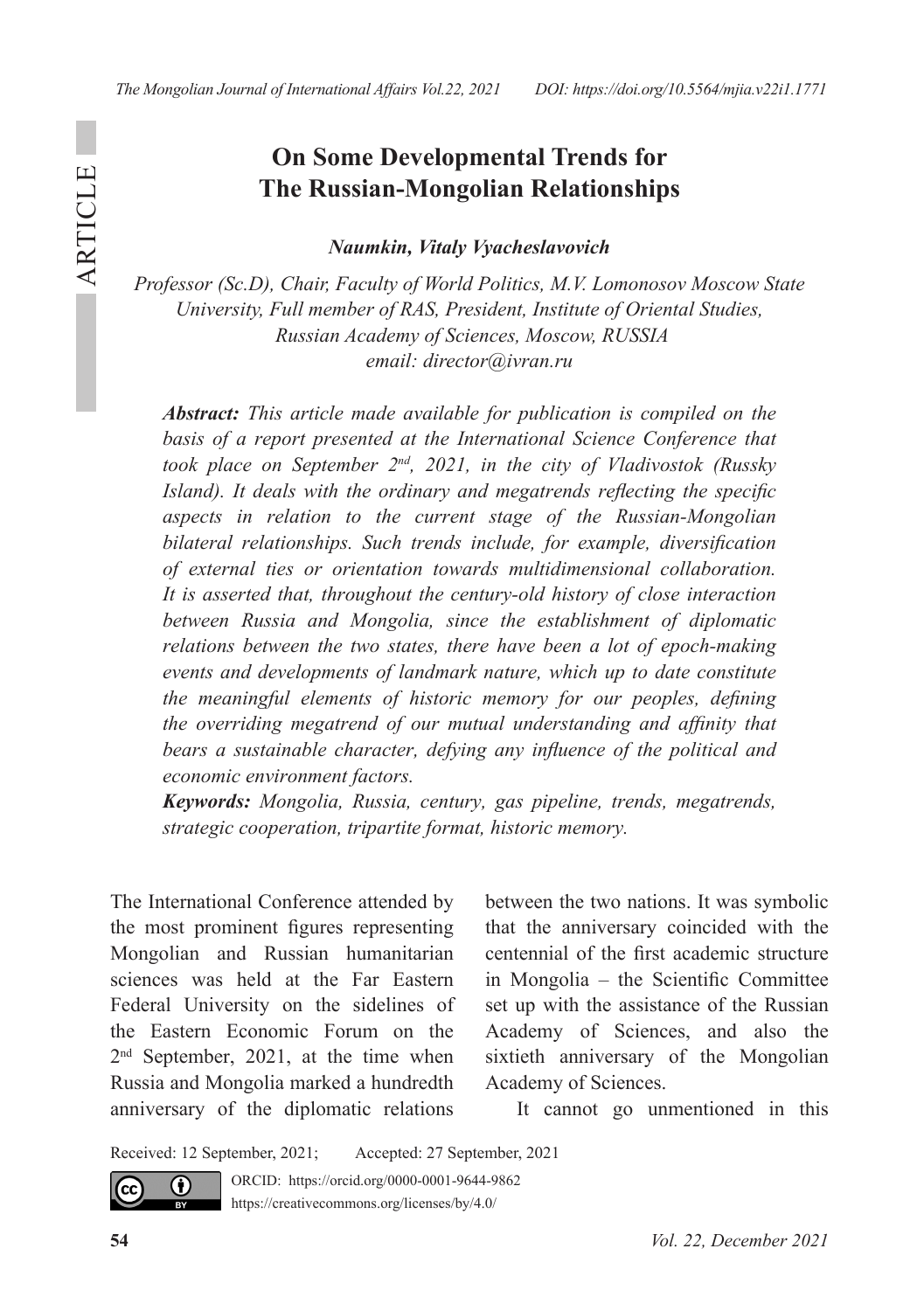## **On Some Developmental Trends for The Russian-Mongolian Relationships**

*Naumkin, Vitaly Vyacheslavovich*

*Professor (Sc.D), Chair, Faculty of World Politics, M.V. Lomonosov Moscow State University, Full member of RAS, President, Institute of Oriental Studies, Russian Academy of Sciences, Moscow, RUSSIA email: director@ivran.ru*

*Abstract: This article made available for publication is compiled on the*  basis of a report presented at the International Science Conference that *took place on September 2nd, 2021, in the city of Vladivostok (Russky Island*). It deals with the ordinary and megatrends reflecting the specific *aspects in relation to the current stage of the Russian-Mongolian bilateral relationships. Such trends include, for example, diversification of external ties or orientation towards multidimensional collaboration. It is asserted that, throughout the century-old history of close interaction between Russia and Mongolia, since the establishment of diplomatic relations between the two states, there have been a lot of epoch-making events and developments of landmark nature, which up to date constitute the meaningful elements of historic memory for our peoples, defining the overriding megatrend of our mutual understanding and affinity that bears a sustainable character, defying any influence of the political and economic environment factors.* 

*Keywords: Mongolia, Russia, century, gas pipeline, trends, megatrends, strategic cooperation, tripartite format, historic memory.* 

The International Conference attended by the most prominent figures representing Mongolian and Russian humanitarian sciences was held at the Far Eastern Federal University on the sidelines of the Eastern Economic Forum on the 2nd September, 2021, at the time when Russia and Mongolia marked a hundredth anniversary of the diplomatic relations

between the two nations. It was symbolic that the anniversary coincided with the centennial of the first academic structure in Mongolia – the Scientific Committee set up with the assistance of the Russian Academy of Sciences, and also the sixtieth anniversary of the Mongolian Academy of Sciences.

It cannot go unmentioned in this

Received: 12 September, 2021; Accepted: 27 September, 2021



cc)

0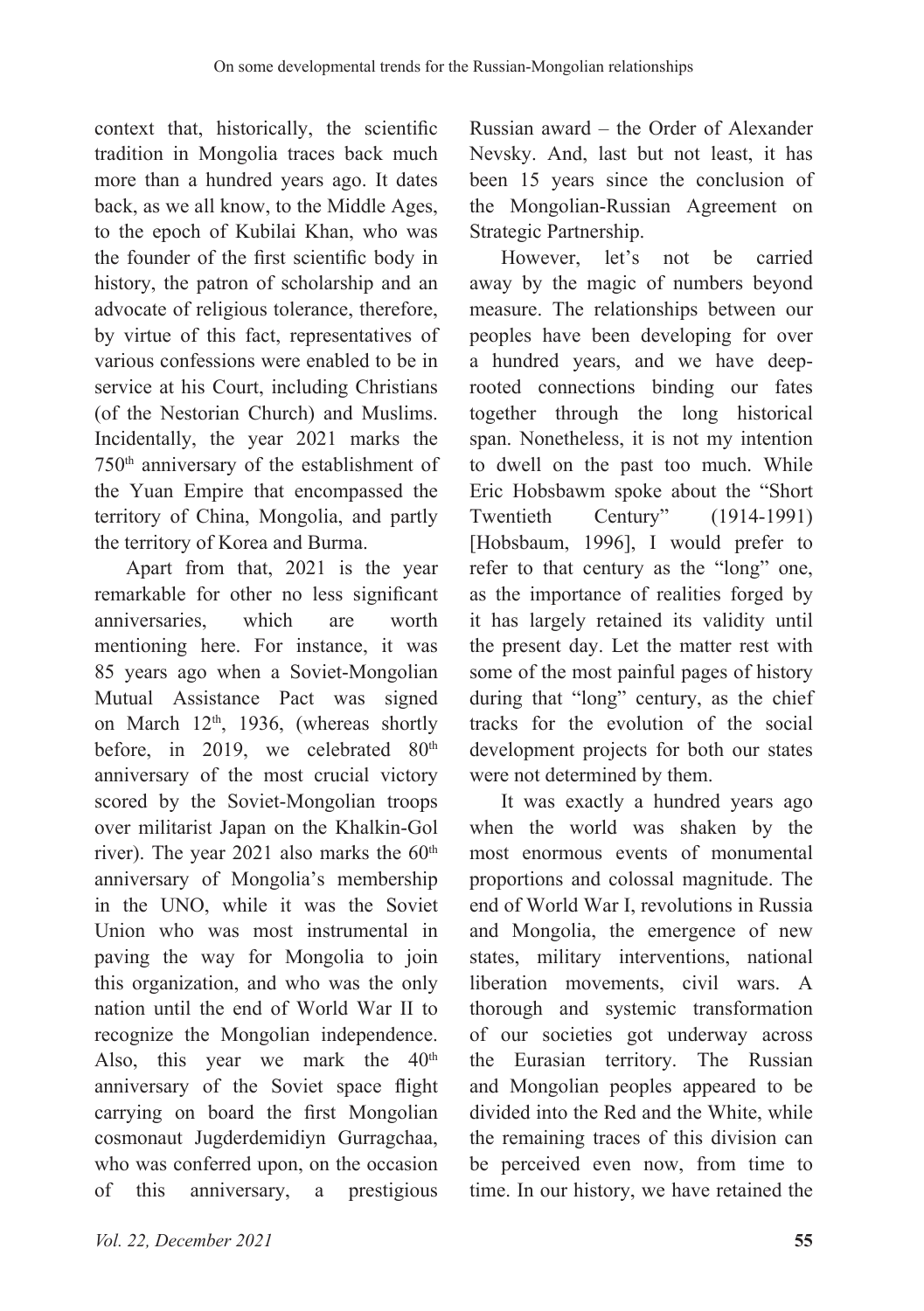context that, historically, the scientific tradition in Mongolia traces back much more than a hundred years ago. It dates back, as we all know, to the Middle Ages, to the epoch of Kubilai Khan, who was the founder of the first scientific body in history, the patron of scholarship and an advocate of religious tolerance, therefore, by virtue of this fact, representatives of various confessions were enabled to be in service at his Court, including Christians (of the Nestorian Church) and Muslims. Incidentally, the year 2021 marks the 750th anniversary of the establishment of the Yuan Empire that encompassed the territory of China, Mongolia, and partly the territory of Korea and Burma.

Apart from that, 2021 is the year remarkable for other no less significant anniversaries, which are worth mentioning here. For instance, it was 85 years ago when a Soviet-Mongolian Mutual Assistance Pact was signed on March  $12<sup>th</sup>$ , 1936, (whereas shortly before, in 2019, we celebrated 80<sup>th</sup> anniversary of the most crucial victory scored by the Soviet-Mongolian troops over militarist Japan on the Khalkin-Gol river). The year 2021 also marks the  $60<sup>th</sup>$ anniversary of Mongolia's membership in the UNO, while it was the Soviet Union who was most instrumental in paving the way for Mongolia to join this organization, and who was the only nation until the end of World War II to recognize the Mongolian independence. Also, this year we mark the  $40<sup>th</sup>$ anniversary of the Soviet space flight carrying on board the first Mongolian cosmonaut Jugderdemidiyn Gurragchaa, who was conferred upon, on the occasion of this anniversary, a prestigious

Russian award – the Order of Alexander Nevsky. And, last but not least, it has been 15 years since the conclusion of the Mongolian-Russian Agreement on Strategic Partnership.

However, let's not be carried away by the magic of numbers beyond measure. The relationships between our peoples have been developing for over a hundred years, and we have deeprooted connections binding our fates together through the long historical span. Nonetheless, it is not my intention to dwell on the past too much. While Eric Hobsbawm spoke about the "Short<br>Twentieth Century" (1914-1991) Twentieth Century" (1914-1991) [Hobsbaum, 1996], I would prefer to refer to that century as the "long" one, as the importance of realities forged by it has largely retained its validity until the present day. Let the matter rest with some of the most painful pages of history during that "long" century, as the chief tracks for the evolution of the social development projects for both our states were not determined by them.

It was exactly a hundred years ago when the world was shaken by the most enormous events of monumental proportions and colossal magnitude. The end of World War I, revolutions in Russia and Mongolia, the emergence of new states, military interventions, national liberation movements, civil wars. A thorough and systemic transformation of our societies got underway across the Eurasian territory. The Russian and Mongolian peoples appeared to be divided into the Red and the White, while the remaining traces of this division can be perceived even now, from time to time. In our history, we have retained the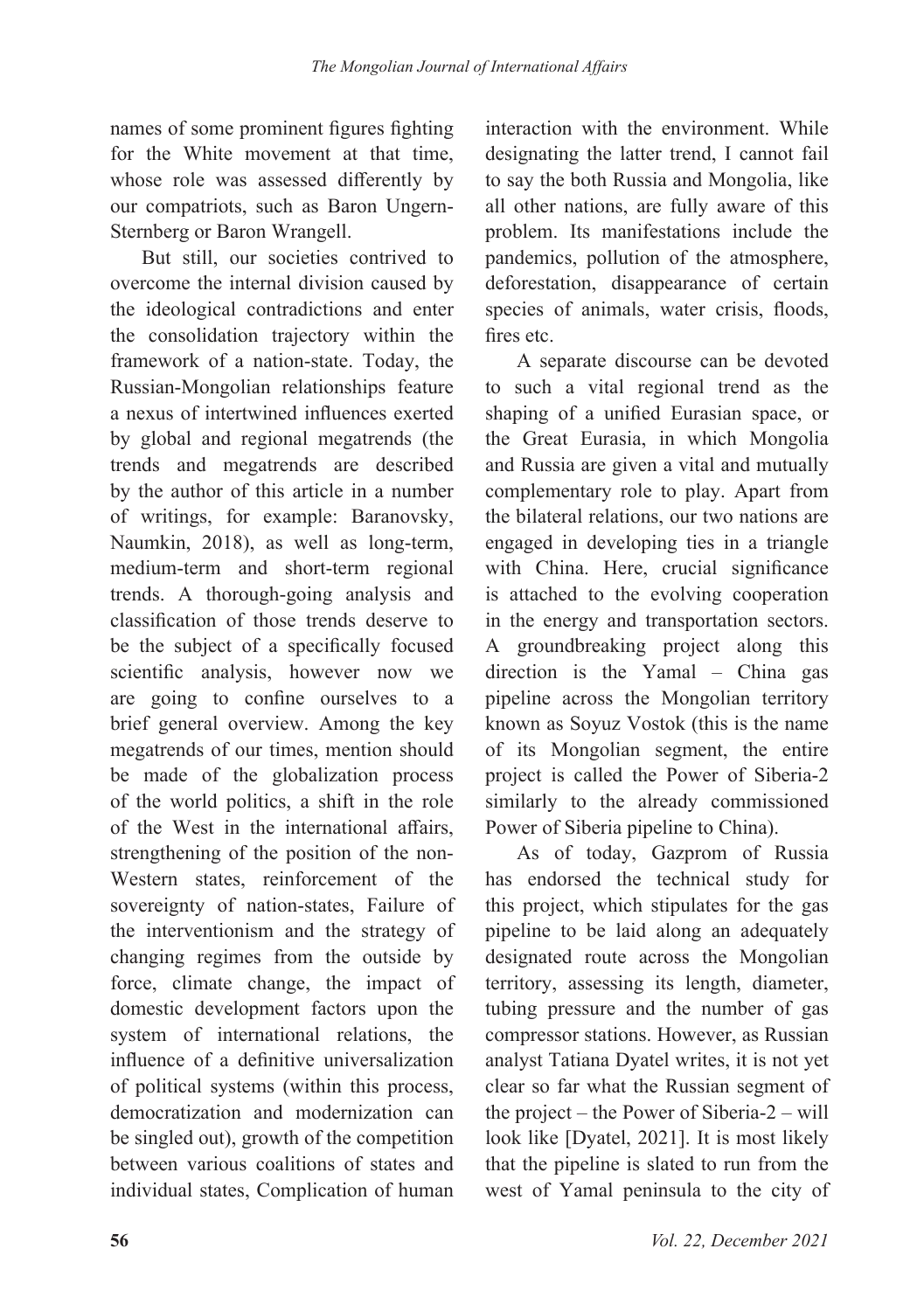names of some prominent figures fighting for the White movement at that time, whose role was assessed differently by our compatriots, such as Baron Ungern-Sternberg or Baron Wrangell.

But still, our societies contrived to overcome the internal division caused by the ideological contradictions and enter the consolidation trajectory within the framework of a nation-state. Today, the Russian-Mongolian relationships feature a nexus of intertwined influences exerted by global and regional megatrends (the trends and megatrends are described by the author of this article in a number of writings, for example: Baranovsky, Naumkin, 2018), as well as long-term, medium-term and short-term regional trends. A thorough-going analysis and classification of those trends deserve to be the subject of a specifically focused scientific analysis, however now we are going to confine ourselves to a brief general overview. Among the key megatrends of our times, mention should be made of the globalization process of the world politics, a shift in the role of the West in the international affairs, strengthening of the position of the non-Western states, reinforcement of the sovereignty of nation-states, Failure of the interventionism and the strategy of changing regimes from the outside by force, climate change, the impact of domestic development factors upon the system of international relations, the influence of a definitive universalization of political systems (within this process, democratization and modernization can be singled out), growth of the competition between various coalitions of states and individual states, Complication of human

interaction with the environment. While designating the latter trend, I cannot fail to say the both Russia and Mongolia, like all other nations, are fully aware of this problem. Its manifestations include the pandemics, pollution of the atmosphere, deforestation, disappearance of certain species of animals, water crisis, floods, fires etc.

A separate discourse can be devoted to such a vital regional trend as the shaping of a unified Eurasian space, or the Great Eurasia, in which Mongolia and Russia are given a vital and mutually complementary role to play. Apart from the bilateral relations, our two nations are engaged in developing ties in a triangle with China. Here, crucial significance is attached to the evolving cooperation in the energy and transportation sectors. A groundbreaking project along this direction is the Yamal – China gas pipeline across the Mongolian territory known as Soyuz Vostok (this is the name of its Mongolian segment, the entire project is called the Power of Siberia-2 similarly to the already commissioned Power of Siberia pipeline to China).

As of today, Gazprom of Russia has endorsed the technical study for this project, which stipulates for the gas pipeline to be laid along an adequately designated route across the Mongolian territory, assessing its length, diameter, tubing pressure and the number of gas compressor stations. However, as Russian analyst Tatiana Dyatel writes, it is not yet clear so far what the Russian segment of the project – the Power of Siberia-2 – will look like [Dyatel, 2021]. It is most likely that the pipeline is slated to run from the west of Yamal peninsula to the city of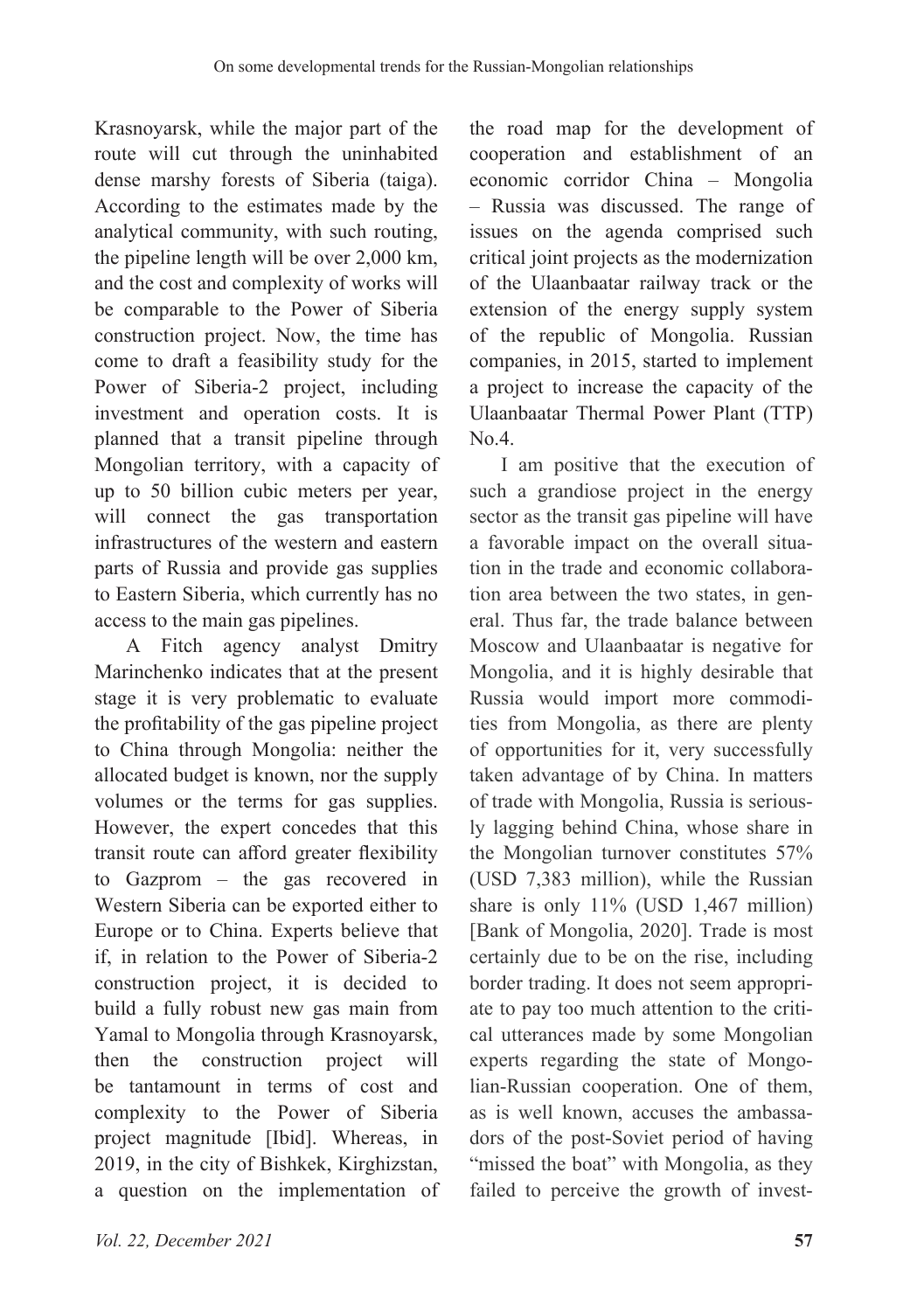Krasnoyarsk, while the major part of the route will cut through the uninhabited dense marshy forests of Siberia (taiga). According to the estimates made by the analytical community, with such routing, the pipeline length will be over 2,000 km, and the cost and complexity of works will be comparable to the Power of Siberia construction project. Now, the time has come to draft a feasibility study for the Power of Siberia-2 project, including investment and operation costs. It is planned that a transit pipeline through Mongolian territory, with a capacity of up to 50 billion cubic meters per year, will connect the gas transportation infrastructures of the western and eastern parts of Russia and provide gas supplies to Eastern Siberia, which currently has no access to the main gas pipelines.

A Fitch agency analyst Dmitry Marinchenko indicates that at the present stage it is very problematic to evaluate the profitability of the gas pipeline project to China through Mongolia: neither the allocated budget is known, nor the supply volumes or the terms for gas supplies. However, the expert concedes that this transit route can afford greater flexibility to Gazprom – the gas recovered in Western Siberia can be exported either to Europe or to China. Experts believe that if, in relation to the Power of Siberia-2 construction project, it is decided to build a fully robust new gas main from Yamal to Mongolia through Krasnoyarsk, then the construction project will be tantamount in terms of cost and complexity to the Power of Siberia project magnitude [Ibid]. Whereas, in 2019, in the city of Bishkek, Kirghizstan, a question on the implementation of

the road map for the development of cooperation and establishment of an economic corridor China – Mongolia – Russia was discussed. The range of issues on the agenda comprised such critical joint projects as the modernization of the Ulaanbaatar railway track or the extension of the energy supply system of the republic of Mongolia. Russian companies, in 2015, started to implement a project to increase the capacity of the Ulaanbaatar Thermal Power Plant (TTP) No.4.

I am positive that the execution of such a grandiose project in the energy sector as the transit gas pipeline will have a favorable impact on the overall situation in the trade and economic collaboration area between the two states, in general. Thus far, the trade balance between Moscow and Ulaanbaatar is negative for Mongolia, and it is highly desirable that Russia would import more commodities from Mongolia, as there are plenty of opportunities for it, very successfully taken advantage of by China. In matters of trade with Mongolia, Russia is seriously lagging behind China, whose share in the Mongolian turnover constitutes 57% (USD 7,383 million), while the Russian share is only 11% (USD 1,467 million) [Bank of Mongolia, 2020]. Trade is most certainly due to be on the rise, including border trading. It does not seem appropriate to pay too much attention to the critical utterances made by some Mongolian experts regarding the state of Mongolian-Russian cooperation. One of them, as is well known, accuses the ambassadors of the post-Soviet period of having "missed the boat" with Mongolia, as they failed to perceive the growth of invest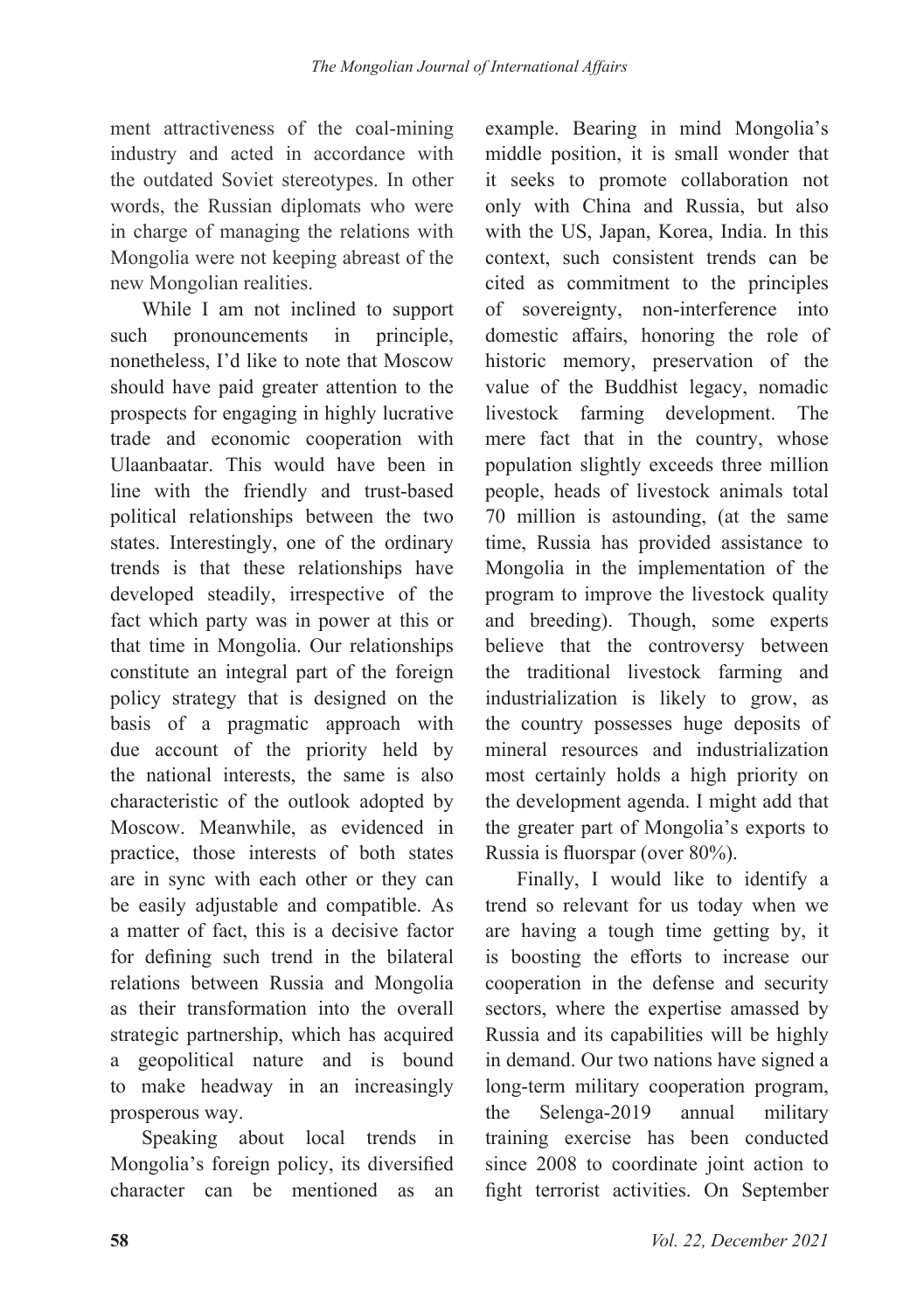ment attractiveness of the coal-mining industry and acted in accordance with the outdated Soviet stereotypes. In other words, the Russian diplomats who were in charge of managing the relations with Mongolia were not keeping abreast of the new Mongolian realities.

While I am not inclined to support such pronouncements in principle, nonetheless, I'd like to note that Moscow should have paid greater attention to the prospects for engaging in highly lucrative trade and economic cooperation with Ulaanbaatar. This would have been in line with the friendly and trust-based political relationships between the two states. Interestingly, one of the ordinary trends is that these relationships have developed steadily, irrespective of the fact which party was in power at this or that time in Mongolia. Our relationships constitute an integral part of the foreign policy strategy that is designed on the basis of a pragmatic approach with due account of the priority held by the national interests, the same is also characteristic of the outlook adopted by Moscow. Meanwhile, as evidenced in practice, those interests of both states are in sync with each other or they can be easily adjustable and compatible. As a matter of fact, this is a decisive factor for defining such trend in the bilateral relations between Russia and Mongolia as their transformation into the overall strategic partnership, which has acquired a geopolitical nature and is bound to make headway in an increasingly prosperous way.

Speaking about local trends in Mongolia's foreign policy, its diversified character can be mentioned as an

example. Bearing in mind Mongolia's middle position, it is small wonder that it seeks to promote collaboration not only with China and Russia, but also with the US, Japan, Korea, India. In this context, such consistent trends can be cited as commitment to the principles of sovereignty, non-interference into domestic affairs, honoring the role of historic memory, preservation of the value of the Buddhist legacy, nomadic livestock farming development. The mere fact that in the country, whose population slightly exceeds three million people, heads of livestock animals total 70 million is astounding, (at the same time, Russia has provided assistance to Mongolia in the implementation of the program to improve the livestock quality and breeding). Though, some experts believe that the controversy between the traditional livestock farming and industrialization is likely to grow, as the country possesses huge deposits of mineral resources and industrialization most certainly holds a high priority on the development agenda. I might add that the greater part of Mongolia's exports to Russia is fluorspar (over 80%).

Finally, I would like to identify a trend so relevant for us today when we are having a tough time getting by, it is boosting the efforts to increase our cooperation in the defense and security sectors, where the expertise amassed by Russia and its capabilities will be highly in demand. Our two nations have signed a long-term military cooperation program, the Selenga-2019 annual military training exercise has been conducted since 2008 to coordinate joint action to fight terrorist activities. On September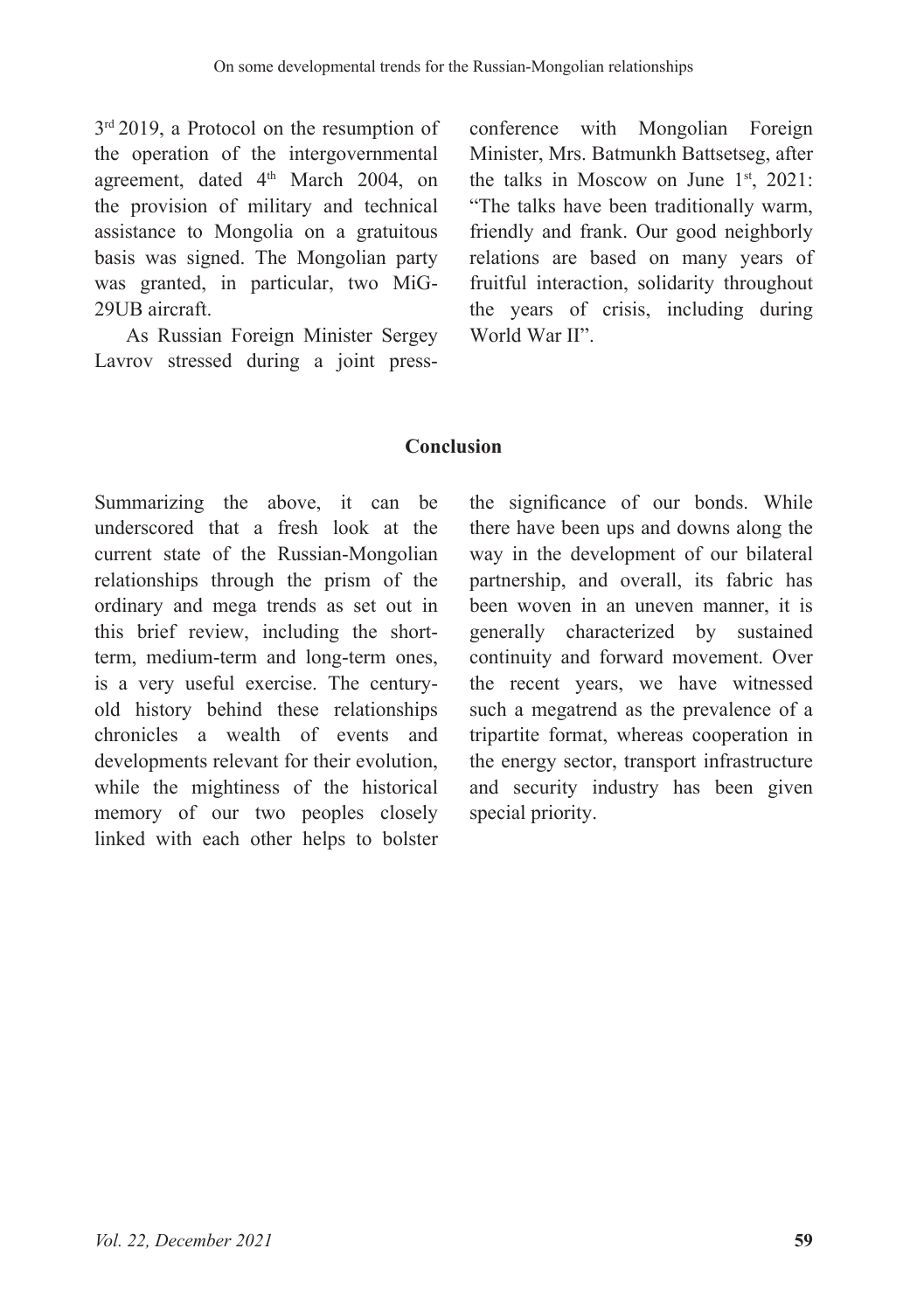3<sup>rd</sup> 2019, a Protocol on the resumption of the operation of the intergovernmental agreement, dated 4<sup>th</sup> March 2004, on the provision of military and technical assistance to Mongolia on a gratuitous basis was signed. The Mongolian party was granted, in particular, two MiG-29UB aircraft.

As Russian Foreign Minister Sergey Lavrov stressed during a joint press-

conference with Mongolian Foreign Minister, Mrs. Batmunkh Battsetseg, after the talks in Moscow on June  $1<sup>st</sup>$ , 2021: "The talks have been traditionally warm, friendly and frank. Our good neighborly relations are based on many years of fruitful interaction, solidarity throughout the years of crisis, including during World War II".

## **Conclusion**

Summarizing the above, it can be underscored that a fresh look at the current state of the Russian-Mongolian relationships through the prism of the ordinary and mega trends as set out in this brief review, including the shortterm, medium-term and long-term ones, is a very useful exercise. The centuryold history behind these relationships chronicles a wealth of events and developments relevant for their evolution, while the mightiness of the historical memory of our two peoples closely linked with each other helps to bolster

the significance of our bonds. While there have been ups and downs along the way in the development of our bilateral partnership, and overall, its fabric has been woven in an uneven manner, it is generally characterized by sustained continuity and forward movement. Over the recent years, we have witnessed such a megatrend as the prevalence of a tripartite format, whereas cooperation in the energy sector, transport infrastructure and security industry has been given special priority.